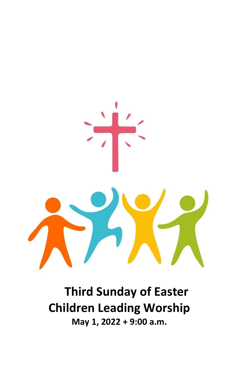

**Third Sunday of Easter Children Leading Worship May 1, 2022 + 9:00 a.m.**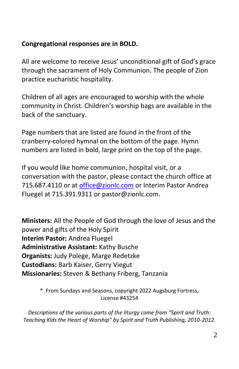### **Congregational responses are in BOLD.**

All are welcome to receive Jesus' unconditional gift of God's grace through the sacrament of Holy Communion. The people of Zion practice eucharistic hospitality.

Children of all ages are encouraged to worship with the whole community in Christ. Children's worship bags are available in the back of the sanctuary.

Page numbers that are listed are found in the front of the cranberry-colored hymnal on the bottom of the page. Hymn numbers are listed in bold, large print on the top of the page.

If you would like home communion, hospital visit, or a conversation with the pastor, please contact the church office at 715.687.4110 or at [office@zionlc.com](mailto:office@zionlc.com) or Interim Pastor Andrea Fluegel at 715.391.9311 or pastor@zionlc.com.

**Ministers:** All the People of God through the love of Jesus and the power and gifts of the Holy Spirit **Interim Pastor:** Andrea Fluegel **Administrative Assistant:** Kathy Busche **Organists:** Judy Polege, Marge Redetzke **Custodians:** Barb Kaiser, Gerry Viegut **Missionaries:** Steven & Bethany Friberg, Tanzania

\* From Sundays and Seasons, copyright 2022 Augsburg Fortress, License #43254

*Descriptions of the various parts of the liturgy come from "Spirit and Truth: Teaching Kids the Heart of Worship" by Spirit and Truth Publishing, 2010-2012.*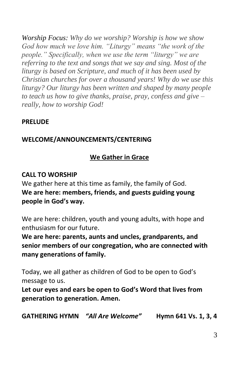*Worship Focus: Why do we worship? Worship is how we show God how much we love him. "Liturgy" means "the work of the people." Specifically, when we use the term "liturgy" we are referring to the text and songs that we say and sing. Most of the liturgy is based on Scripture, and much of it has been used by Christian churches for over a thousand years! Why do we use this liturgy? Our liturgy has been written and shaped by many people to teach us how to give thanks, praise, pray, confess and give – really, how to worship God!* 

### **PRELUDE**

#### **WELCOME/ANNOUNCEMENTS/CENTERING**

#### **We Gather in Grace**

#### **CALL TO WORSHIP**

We gather here at this time as family, the family of God. **We are here: members, friends, and guests guiding young people in God's way.**

We are here: children, youth and young adults, with hope and enthusiasm for our future.

**We are here: parents, aunts and uncles, grandparents, and senior members of our congregation, who are connected with many generations of family.**

Today, we all gather as children of God to be open to God's message to us.

**Let our eyes and ears be open to God's Word that lives from generation to generation. Amen.**

**GATHERING HYMN** *"All Are Welcome"* **Hymn 641 Vs. 1, 3, 4**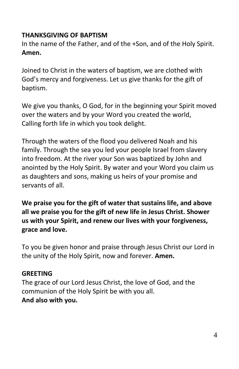### **THANKSGIVING OF BAPTISM**

In the name of the Father, and of the +Son, and of the Holy Spirit. **Amen.**

Joined to Christ in the waters of baptism, we are clothed with God's mercy and forgiveness. Let us give thanks for the gift of baptism.

We give you thanks, O God, for in the beginning your Spirit moved over the waters and by your Word you created the world, Calling forth life in which you took delight.

Through the waters of the flood you delivered Noah and his family. Through the sea you led your people Israel from slavery into freedom. At the river your Son was baptized by John and anointed by the Holy Spirit. By water and your Word you claim us as daughters and sons, making us heirs of your promise and servants of all.

**We praise you for the gift of water that sustains life, and above all we praise you for the gift of new life in Jesus Christ. Shower us with your Spirit, and renew our lives with your forgiveness, grace and love.**

To you be given honor and praise through Jesus Christ our Lord in the unity of the Holy Spirit, now and forever. **Amen.**

# **GREETING**

The grace of our Lord Jesus Christ, the love of God, and the communion of the Holy Spirit be with you all. **And also with you.**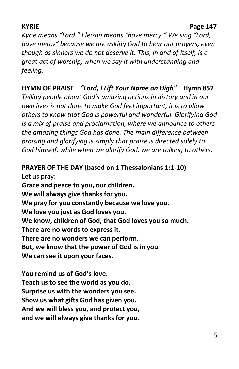*Kyrie means "Lord." Eleison means "have mercy." We sing "Lord, have mercy" because we are asking God to hear our prayers, even though as sinners we do not deserve it. This, in and of itself, is a great act of worship, when we say it with understanding and feeling.*

**HYMN OF PRAISE** *"Lord, I Lift Your Name on High"* **Hymn 857**

*Telling people about God's amazing actions in history and in our own lives is not done to make God feel important, it is to allow others to know that God is powerful and wonderful. Glorifying God is a mix of praise and proclamation, where we announce to others the amazing things God has done. The main difference between praising and glorifying is simply that praise is directed solely to God himself, while when we glorify God, we are talking to others.*

### **PRAYER OF THE DAY (based on 1 Thessalonians 1:1-10)**

Let us pray: **Grace and peace to you, our children. We will always give thanks for you. We pray for you constantly because we love you. We love you just as God loves you. We know, children of God, that God loves you so much. There are no words to express it. There are no wonders we can perform. But, we know that the power of God is in you. We can see it upon your faces.**

**You remind us of God's love. Teach us to see the world as you do. Surprise us with the wonders you see. Show us what gifts God has given you. And we will bless you, and protect you, and we will always give thanks for you.**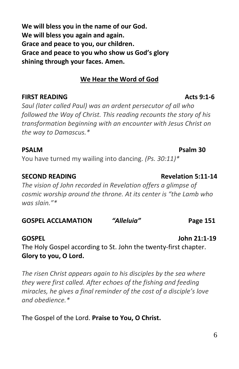**We will bless you in the name of our God. We will bless you again and again. Grace and peace to you, our children. Grace and peace to you who show us God's glory shining through your faces. Amen.**

# **We Hear the Word of God**

# **FIRST READING Acts 9:1-6**

*Saul (later called Paul) was an ardent persecutor of all who followed the Way of Christ. This reading recounts the story of his transformation beginning with an encounter with Jesus Christ on the way to Damascus.\**

# PSALM **PSALM** PSALM

You have turned my wailing into dancing. *(Ps. 30:11)\**

*The vision of John recorded in Revelation offers a glimpse of cosmic worship around the throne. At its center is "the Lamb who was slain."\**

**GOSPEL ACCLAMATION** *"Alleluia"* **Page 151**

The Holy Gospel according to St. John the twenty-first chapter. **Glory to you, O Lord.** 

*The risen Christ appears again to his disciples by the sea where they were first called. After echoes of the fishing and feeding miracles, he gives a final reminder of the cost of a disciple's love and obedience.\**

The Gospel of the Lord. **Praise to You, O Christ.** 

# **SECOND READING Revelation 5:11-14**

### **GOSPEL John 21:1-19**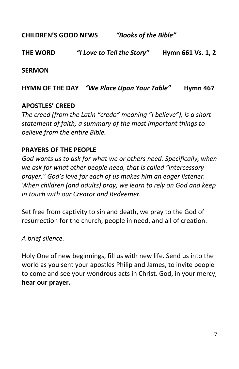**CHILDREN'S GOOD NEWS** *"Books of the Bible"*

**THE WORD** *"I Love to Tell the Story"* **Hymn 661 Vs. 1, 2**

#### **SERMON stor Andrea Fluegel**

**HYMN OF THE DAY** *"We Place Upon Your Table"* **Hymn 467**

#### **APOSTLES' CREED**

*The creed (from the Latin "credo" meaning "I believe"), is a short statement of faith, a summary of the most important things to believe from the entire Bible.*

#### **PRAYERS OF THE PEOPLE**

*God wants us to ask for what we or others need. Specifically, when we ask for what other people need, that is called "intercessory prayer." God's love for each of us makes him an eager listener. When children (and adults) pray, we learn to rely on God and keep in touch with our Creator and Redeemer.*

Set free from captivity to sin and death, we pray to the God of resurrection for the church, people in need, and all of creation.

*A brief silence.*

Holy One of new beginnings, fill us with new life. Send us into the world as you sent your apostles Philip and James, to invite people to come and see your wondrous acts in Christ. God, in your mercy, **hear our prayer.**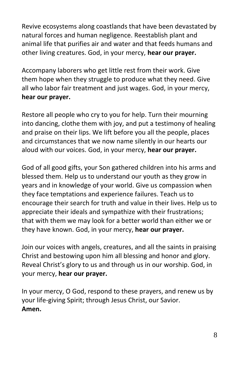Revive ecosystems along coastlands that have been devastated by natural forces and human negligence. Reestablish plant and animal life that purifies air and water and that feeds humans and other living creatures. God, in your mercy, **hear our prayer.**

Accompany laborers who get little rest from their work. Give them hope when they struggle to produce what they need. Give all who labor fair treatment and just wages. God, in your mercy, **hear our prayer.**

Restore all people who cry to you for help. Turn their mourning into dancing, clothe them with joy, and put a testimony of healing and praise on their lips. We lift before you all the people, places and circumstances that we now name silently in our hearts our aloud with our voices. God, in your mercy, **hear our prayer.**

God of all good gifts, your Son gathered children into his arms and blessed them. Help us to understand our youth as they grow in years and in knowledge of your world. Give us compassion when they face temptations and experience failures. Teach us to encourage their search for truth and value in their lives. Help us to appreciate their ideals and sympathize with their frustrations; that with them we may look for a better world than either we or they have known. God, in your mercy, **hear our prayer.**

Join our voices with angels, creatures, and all the saints in praising Christ and bestowing upon him all blessing and honor and glory. Reveal Christ's glory to us and through us in our worship. God, in your mercy, **hear our prayer.**

In your mercy, O God, respond to these prayers, and renew us by your life-giving Spirit; through Jesus Christ, our Savior. **Amen.**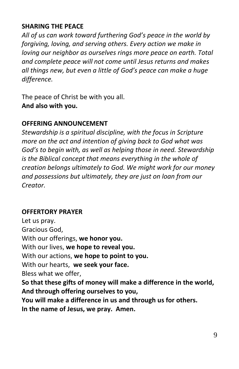#### **SHARING THE PEACE**

*All of us can work toward furthering God's peace in the world by forgiving, loving, and serving others. Every action we make in loving our neighbor as ourselves rings more peace on earth. Total and complete peace will not come until Jesus returns and makes all things new, but even a little of God's peace can make a huge difference.*

The peace of Christ be with you all. **And also with you.**

### **OFFERING ANNOUNCEMENT**

*Stewardship is a spiritual discipline, with the focus in Scripture more on the act and intention of giving back to God what was God's to begin with, as well as helping those in need. Stewardship is the Biblical concept that means everything in the whole of creation belongs ultimately to God. We might work for our money and possessions but ultimately, they are just on loan from our Creator.*

#### **OFFERTORY PRAYER**

Let us pray. Gracious God, With our offerings, **we honor you.** With our lives, **we hope to reveal you.** With our actions, **we hope to point to you.** With our hearts, **we seek your face.** Bless what we offer, **So that these gifts of money will make a difference in the world, And through offering ourselves to you, You will make a difference in us and through us for others. In the name of Jesus, we pray. Amen.**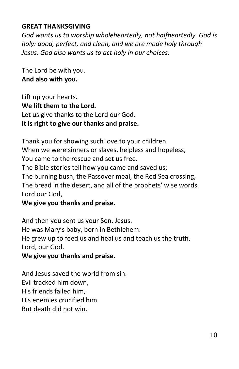#### **GREAT THANKSGIVING**

*God wants us to worship wholeheartedly, not halfheartedly. God is holy: good, perfect, and clean, and we are made holy through Jesus. God also wants us to act holy in our choices.*

The Lord be with you. **And also with you.**

Lift up your hearts. **We lift them to the Lord.** Let us give thanks to the Lord our God. **It is right to give our thanks and praise.**

Thank you for showing such love to your children. When we were sinners or slaves, helpless and hopeless, You came to the rescue and set us free. The Bible stories tell how you came and saved us; The burning bush, the Passover meal, the Red Sea crossing, The bread in the desert, and all of the prophets' wise words. Lord our God,

#### **We give you thanks and praise.**

And then you sent us your Son, Jesus. He was Mary's baby, born in Bethlehem. He grew up to feed us and heal us and teach us the truth. Lord, our God.

#### **We give you thanks and praise.**

And Jesus saved the world from sin. Evil tracked him down, His friends failed him, His enemies crucified him. But death did not win.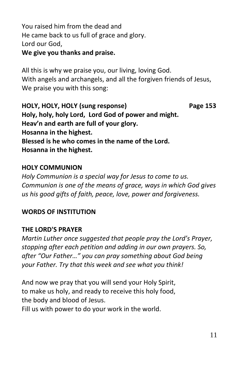You raised him from the dead and He came back to us full of grace and glory. Lord our God, **We give you thanks and praise.**

All this is why we praise you, our living, loving God. With angels and archangels, and all the forgiven friends of Jesus, We praise you with this song:

**HOLY, HOLY, HOLY (sung response) Page 153 Holy, holy, holy Lord, Lord God of power and might. Heav'n and earth are full of your glory. Hosanna in the highest. Blessed is he who comes in the name of the Lord. Hosanna in the highest.**

### **HOLY COMMUNION**

*Holy Communion is a special way for Jesus to come to us. Communion is one of the means of grace, ways in which God gives us his good gifts of faith, peace, love, power and forgiveness.*

#### **WORDS OF INSTITUTION**

### **THE LORD'S PRAYER**

*Martin Luther once suggested that people pray the Lord's Prayer, stopping after each petition and adding in our own prayers. So, after "Our Father…" you can pray something about God being your Father. Try that this week and see what you think!*

And now we pray that you will send your Holy Spirit, to make us holy, and ready to receive this holy food, the body and blood of Jesus. Fill us with power to do your work in the world.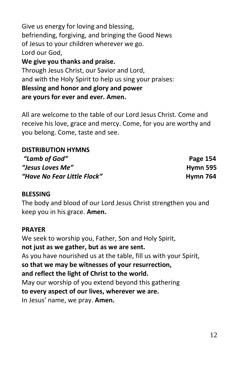Give us energy for loving and blessing, befriending, forgiving, and bringing the Good News of Jesus to your children wherever we go. Lord our God, **We give you thanks and praise.** Through Jesus Christ, our Savior and Lord, and with the Holy Spirit to help us sing your praises: **Blessing and honor and glory and power are yours for ever and ever. Amen.**

All are welcome to the table of our Lord Jesus Christ. Come and receive his love, grace and mercy. Come, for you are worthy and you belong. Come, taste and see.

#### **DISTRIBUTION HYMNS**

| "Lamb of God"               | Page 154        |
|-----------------------------|-----------------|
| "Jesus Loves Me"            | Hymn 595        |
| "Have No Fear Little Flock" | <b>Hymn 764</b> |

#### **BLESSING**

The body and blood of our Lord Jesus Christ strengthen you and keep you in his grace. **Amen.**

#### **PRAYER**

We seek to worship you, Father, Son and Holy Spirit, **not just as we gather, but as we are sent.**  As you have nourished us at the table, fill us with your Spirit, **so that we may be witnesses of your resurrection, and reflect the light of Christ to the world.**  May our worship of you extend beyond this gathering **to every aspect of our lives, wherever we are.**  In Jesus' name, we pray. **Amen.**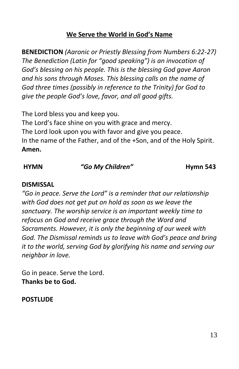### **We Serve the World in God's Name**

**BENEDICTION** *(Aaronic or Priestly Blessing from Numbers 6:22-27) The Benediction (Latin for "good speaking") is an invocation of God's blessing on his people. This is the blessing God gave Aaron and his sons through Moses. This blessing calls on the name of God three times (possibly in reference to the Trinity) for God to give the people God's love, favor, and all good gifts.*

The Lord bless you and keep you. The Lord's face shine on you with grace and mercy. The Lord look upon you with favor and give you peace. In the name of the Father, and of the +Son, and of the Holy Spirit. **Amen.**

#### **HYMN** *"Go My Children"* **Hymn 543**

#### **DISMISSAL**

*"Go in peace. Serve the Lord" is a reminder that our relationship with God does not get put on hold as soon as we leave the sanctuary. The worship service is an important weekly time to refocus on God and receive grace through the Word and Sacraments. However, it is only the beginning of our week with God. The Dismissal reminds us to leave with God's peace and bring it to the world, serving God by glorifying his name and serving our neighbor in love.*

Go in peace. Serve the Lord. **Thanks be to God.**

#### **POSTLUDE**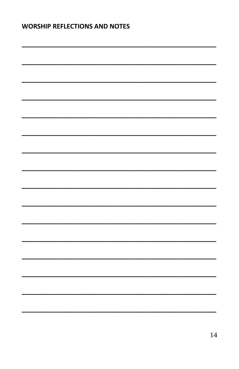# **WORSHIP REFLECTIONS AND NOTES**